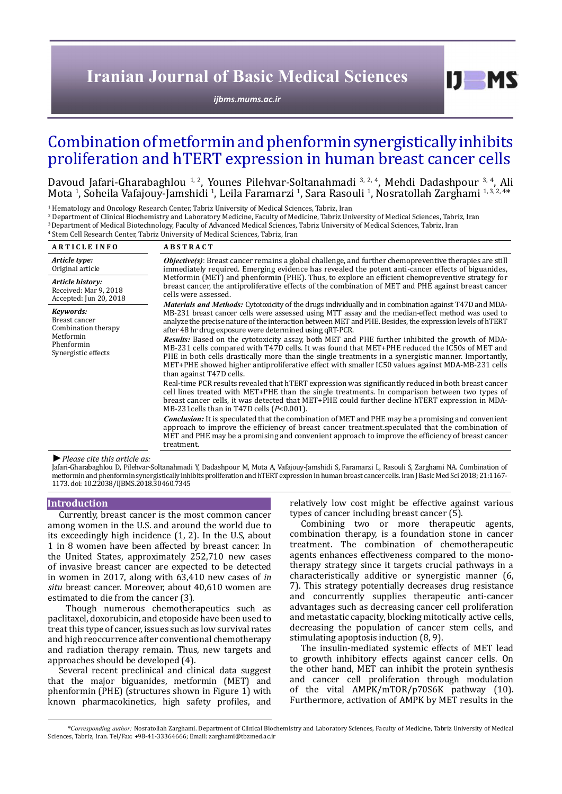# **Iranian Journal of Basic Medical Sciences**

*[ijbms.mums.ac.ir](http://ijbms.mums.ac.ir)*

# Combination of metformin and phenformin synergistically inhibits proliferation and hTERT expression in human breast cancer cells

Davoud Jafari-Gharabaghlou <sup>1, 2</sup>, Younes Pilehvar-Soltanahmadi <sup>3, 2, 4</sup>, Mehdi Dadashpour <sup>3, 4</sup>, Ali Mota <sup>1</sup>, Soheila Vafajouy-Jamshidi <sup>1</sup>, Leila Faramarzi <sup>1</sup>, Sara Rasouli <sup>1</sup>, Nosratollah Zarghami <sup>1,3,2,4</sup>\*

1 Hematology and Oncology Research Center, Tabriz University of Medical Sciences, Tabriz, Iran

2 Department of Clinical Biochemistry and Laboratory Medicine, Faculty of Medicine, Tabriz University of Medical Sciences, Tabriz, Iran

3 Department of Medical Biotechnology, Faculty of Advanced Medical Sciences, Tabriz University of Medical Sciences, Tabriz, Iran

4 Stem Cell Research Center, Tabriz University of Medical Sciences, Tabriz, Iran

| <b>ARTICLE INFO</b>                                                                                 | <b>ABSTRACT</b>                                                                                                                                                                                                                                                                                                                                                                                                                                           |  |
|-----------------------------------------------------------------------------------------------------|-----------------------------------------------------------------------------------------------------------------------------------------------------------------------------------------------------------------------------------------------------------------------------------------------------------------------------------------------------------------------------------------------------------------------------------------------------------|--|
| Article type:<br>Original article                                                                   | <i>Objective(s)</i> : Breast cancer remains a global challenge, and further chemopreventive therapies are still<br>immediately required. Emerging evidence has revealed the potent anti-cancer effects of biguanides,<br>Metformin (MET) and phenformin (PHE). Thus, to explore an efficient chemopreventive strategy for<br>breast cancer, the antiproliferative effects of the combination of MET and PHE against breast cancer<br>cells were assessed. |  |
| Article history:<br>Received: Mar 9, 2018<br>Accepted: Jun 20, 2018                                 |                                                                                                                                                                                                                                                                                                                                                                                                                                                           |  |
| Keywords:<br>Breast cancer<br>Combination therapy<br>Metformin<br>Phenformin<br>Synergistic effects | <i>Materials and Methods:</i> Cytotoxicity of the drugs individually and in combination against T47D and MDA-<br>MB-231 breast cancer cells were assessed using MTT assay and the median-effect method was used to<br>analyze the precise nature of the interaction between MET and PHE. Besides, the expression levels of hTERT<br>after 48 hr drug exposure were determined using gRT-PCR.                                                              |  |
|                                                                                                     | <b>Results:</b> Based on the cytotoxicity assay, both MET and PHE further inhibited the growth of MDA-<br>MB-231 cells compared with T47D cells. It was found that MET+PHE reduced the IC50s of MET and<br>PHE in both cells drastically more than the single treatments in a synergistic manner. Importantly,<br>MET+PHE showed higher antiproliferative effect with smaller IC50 values against MDA-MB-231 cells<br>than against T47D cells.            |  |
|                                                                                                     | Real-time PCR results revealed that hTERT expression was significantly reduced in both breast cancer<br>cell lines treated with MET+PHE than the single treatments. In comparison between two types of<br>breast cancer cells, it was detected that MET+PHE could further decline hTERT expression in MDA-<br>MB-231 cells than in T47D cells $(P<0.001)$ .                                                                                               |  |
|                                                                                                     | <b>Conclusion:</b> It is speculated that the combination of MET and PHE may be a promising and convenient<br>approach to improve the efficiency of breast cancer treatment.speculated that the combination of<br>MET and PHE may be a promising and convenient approach to improve the efficiency of breast cancer<br>treatment.                                                                                                                          |  |
| $\blacktriangleright$ Please cite this article as:                                                  |                                                                                                                                                                                                                                                                                                                                                                                                                                                           |  |

Jafari-Gharabaghlou D, Pilehvar-Soltanahmadi Y, Dadashpour M, Mota A, Vafajouy-Jamshidi S, Faramarzi L, Rasouli S, Zarghami NA. Combination of metformin and phenformin synergistically inhibits proliferation and hTERT expression in human breast cancer cells. Iran J Basic Med Sci 2018; 21:1167- 1173. doi: 10.22038/IJBMS.2018.30460.7345

#### **Introduction**

Currently, breast cancer is the most common cancer among women in the U.S. and around the world due to its exceedingly high incidence (1, 2). In the U.S, about 1 in 8 women have been affected by breast cancer. In the United States, approximately 252,710 new cases of invasive breast cancer are expected to be detected in women in 2017, along with 63,410 new cases of *in situ* breast cancer. Moreover, about 40,610 women are estimated to die from the cancer (3).

Though numerous chemotherapeutics such as paclitaxel, doxorubicin, and etoposide have been used to treat this type of cancer, issues such as low survival rates and high reoccurrence after conventional chemotherapy and radiation therapy remain. Thus, new targets and approaches should be developed (4).

Several recent preclinical and clinical data suggest that the major biguanides, metformin (MET) and phenformin (PHE) (structures shown in Figure 1) with known pharmacokinetics, high safety profiles, and

relatively low cost might be effective against various types of cancer including breast cancer (5).

 $I$   $I$   $M$   $S$ 

Combining two or more therapeutic agents, combination therapy, is a foundation stone in cancer treatment. The combination of chemotherapeutic agents enhances effectiveness compared to the monotherapy strategy since it targets crucial pathways in a characteristically additive or synergistic manner (6, 7). This strategy potentially decreases drug resistance and concurrently supplies therapeutic anti-cancer advantages such as decreasing cancer cell proliferation and metastatic capacity, blocking mitotically active cells, decreasing the population of cancer stem cells, and stimulating apoptosis induction (8, 9).

The insulin-mediated systemic effects of MET lead to growth inhibitory effects against cancer cells. On the other hand, MET can inhibit the protein synthesis and cancer cell proliferation through modulation of the vital AMPK/mTOR/p70S6K pathway (10). Furthermore, activation of AMPK by MET results in the

*\*Corresponding author:* Nosratollah Zarghami. Department of Clinical Biochemistry and Laboratory Sciences, Faculty of Medicine, Tabriz University of Medical Sciences, Tabriz, Iran. Tel/Fax: +98-41-33364666; Email: zarghami@tbzmed.ac.ir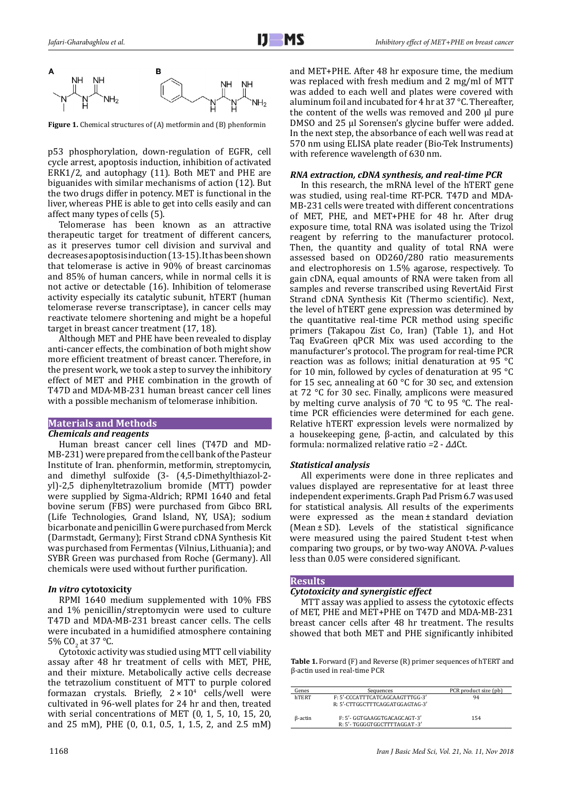

**Figure 1.** Chemical structures of (A) metformin and (B) phenformin

p53 phosphorylation, down-regulation of EGFR, cell cycle arrest, apoptosis induction, inhibition of activated ERK1/2, and autophagy (11). Both MET and PHE are biguanides with similar mechanisms of action (12). But the two drugs differ in potency. MET is functional in the liver, whereas PHE is able to get into cells easily and can affect many types of cells (5).

Telomerase has been known as an attractive therapeutic target for treatment of different cancers, as it preserves tumor cell division and survival and decreasesapoptosisinduction (13-15). It has been shown that telomerase is active in 90% of breast carcinomas and 85% of human cancers, while in normal cells it is not active or detectable (16). Inhibition of telomerase activity especially its catalytic subunit, hTERT (human telomerase reverse transcriptase), in cancer cells may reactivate telomere shortening and might be a hopeful target in breast cancer treatment (17, 18).

Although MET and PHE have been revealed to display anti-cancer effects, the combination of both might show more efficient treatment of breast cancer. Therefore, in the present work, we took a step to survey the inhibitory effect of MET and PHE combination in the growth of T47D and MDA-MB-231 human breast cancer cell lines with a possible mechanism of telomerase inhibition.

## **Materials and Methods**

### *Chemicals and reagents*

Human breast cancer cell lines (T47D and MD-MB-231) were prepared from the cell bank of the Pasteur Institute of Iran. [phenformin](https://www.google.com/url?sa=t&rct=j&q=&esrc=s&source=web&cd=1&cad=rja&uact=8&ved=0ahUKEwjwxdWTpbvYAhUrMJoKHTbTDd8QFggnMAA&url=https%3A%2F%2Fen.wikipedia.org%2Fwiki%2FPhenformin&usg=AOvVaw0Jf3XhmRbrEBu5ht7nOiKc), metformin, streptomycin, and dimethyl sulfoxide (3- (4,5-Dimethylthiazol-2 yl)-2,5 diphenyltetrazolium bromide (MTT) powder were supplied by Sigma-Aldrich; RPMI 1640 and fetal bovine serum (FBS) were purchased from Gibco BRL (Life Technologies, Grand Island, NY, USA); sodium bicarbonate and penicillin G were purchased from Merck (Darmstadt, Germany); First Strand cDNA Synthesis Kit was purchased from Fermentas (Vilnius, Lithuania); and SYBR Green was purchased from Roche (Germany). All chemicals were used without further purification.

### *In vitro* **cytotoxicity**

RPMI 1640 medium supplemented with 10% FBS and 1% penicillin/streptomycin were used to culture T47D and MDA-MB-231 breast cancer cells. The cells were incubated in a humidified atmosphere containing 5% CO<sub>2</sub> at 37 °C.

Cytotoxic activity was studied using MTT cell viability assay after 48 hr treatment of cells with [MET,](https://www.google.com/url?sa=t&rct=j&q=&esrc=s&source=web&cd=1&cad=rja&uact=8&ved=0ahUKEwjwxdWTpbvYAhUrMJoKHTbTDd8QFggnMAA&url=https%3A%2F%2Fen.wikipedia.org%2Fwiki%2FPhenformin&usg=AOvVaw0Jf3XhmRbrEBu5ht7nOiKc) PHE, and their mixture. Metabolically active cells decrease the tetrazolium constituent of MTT to purple colored formazan crystals. Briefly,  $2 \times 10^4$  cells/well were cultivated in 96-well plates for 24 hr and then, treated with serial concentrations of [MET](https://www.google.com/url?sa=t&rct=j&q=&esrc=s&source=web&cd=1&cad=rja&uact=8&ved=0ahUKEwjwxdWTpbvYAhUrMJoKHTbTDd8QFggnMAA&url=https%3A%2F%2Fen.wikipedia.org%2Fwiki%2FPhenformin&usg=AOvVaw0Jf3XhmRbrEBu5ht7nOiKc) (0, 1, 5, 10, 15, 20, and 25 mM), PHE (0, 0.1, 0.5, 1, 1.5, 2, and 2.5 mM)

and MET+PHE. After 48 hr exposure time, the medium was replaced with fresh medium and 2 mg/ml of MTT was added to each well and plates were covered with aluminum foil and incubated for 4 hr at 37 °C. Thereafter, the content of the wells was removed and 200 μl pure DMSO and 25 μl Sorensen's glycine buffer were added. In the next step, the absorbance of each well was read at 570 nm using ELISA plate reader (Bio-Tek Instruments) with reference wavelength of 630 nm.

### *RNA extraction, cDNA synthesis, and real-time PCR*

In this research, the mRNA level of the hTERT gene was studied, using real-time RT-PCR. T47D and MDA-MB-231 cells were treated with different concentrations of [MET](https://www.google.com/url?sa=t&rct=j&q=&esrc=s&source=web&cd=1&cad=rja&uact=8&ved=0ahUKEwjwxdWTpbvYAhUrMJoKHTbTDd8QFggnMAA&url=https%3A%2F%2Fen.wikipedia.org%2Fwiki%2FPhenformin&usg=AOvVaw0Jf3XhmRbrEBu5ht7nOiKc), PHE, and MET+PHE for 48 hr. After drug exposure time, total RNA was isolated using the Trizol reagent by referring to the manufacturer protocol. Then, the quantity and quality of total RNA were assessed based on OD260/280 ratio measurements and electrophoresis on 1.5% agarose, respectively. To gain cDNA, equal amounts of RNA were taken from all samples and reverse transcribed using RevertAid First Strand cDNA Synthesis Kit (Thermo scientific). Next, the level of hTERT gene expression was determined by the quantitative real-time PCR method using specific primers (Takapou Zist Co, Iran) (Table 1), and Hot Taq EvaGreen qPCR Mix was used according to the manufacturer's protocol. The program for real-time PCR reaction was as follows; initial denaturation at 95 °C for 10 min, followed by cycles of denaturation at 95 °C for 15 sec, annealing at 60 °C for 30 sec, and extension at 72 °C for 30 sec. Finally, amplicons were measured by melting curve analysis of 70 °C to 95 °C. The realtime PCR efficiencies were determined for each gene. Relative hTERT expression levels were normalized by a housekeeping gene, β-actin, and calculated by this formula: normalized relative ratio *=*2 - *ΔΔ*Ct.

### *Statistical analysis*

All experiments were done in three replicates and values displayed are representative for at least three independent experiments. Graph Pad Prism 6.7 was used for statistical analysis. All results of the experiments were expressed as the mean ± standard deviation (Mean ± SD). Levels of the statistical significance were measured using the paired Student t-test when comparing two groups, or by two-way ANOVA. *P*-values less than 0.05 were considered significant.

# **Results**

## *Cytotoxicity and synergistic effect*

MTT assay was applied to assess the cytotoxic effects of MET, PHE and MET+PHE on T47D and MDA-MB-231 breast cancer cells after 48 hr treatment. The results showed that both MET and PHE significantly inhibited

**Table 1.** Forward (F) and Reverse (R) primer sequences of hTERT and β-actin used in real-time PCR

| Genes   | Sequences                                                          | PCR product size (pb) |
|---------|--------------------------------------------------------------------|-----------------------|
| hTERT   | F: 5'-CCCATTTCATCAGCAAGTTTGG-3'<br>R: 5'-CTTGGCTTTCAGGATGGAGTAG-3' | 94                    |
| ß-actin | F: 5'- GGTGAAGGTGACAGCAGT-3'<br>R: 5'- TGGGGTGGCTTTTAGGAT -3'      | 154                   |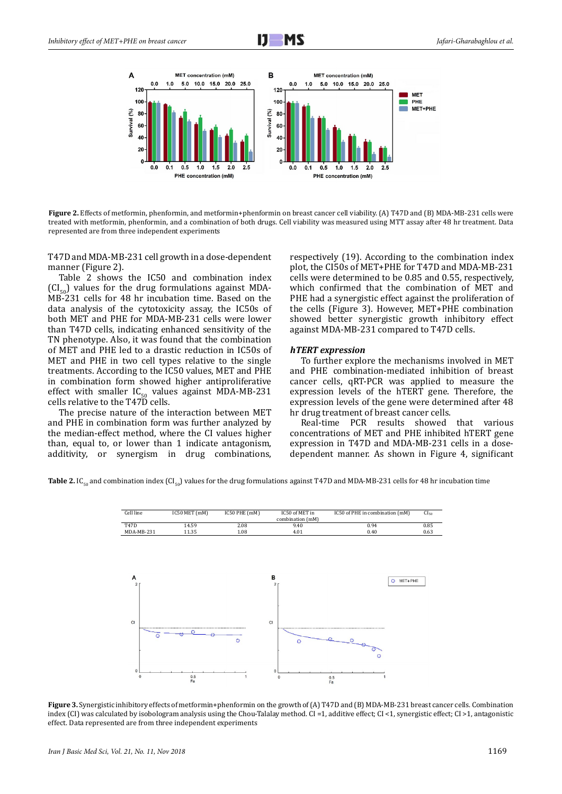



**Figure 2.** Effects of metformin, phenformin, and metformin+phenformin on breast cancer cell viability. (A) T47D and (B) MDA-MB-231 cells were treated with metformin, phenformin, and a combination of both drugs. Cell viability was measured using MTT assay after 48 hr treatment. Data represented are from three independent experiments

T47D and MDA-MB-231 cell growth in a dose-dependent manner (Figure 2).

Table 2 shows the IC50 and combination index  $(Cl_{\text{eq}})$  values for the drug formulations against MDA-MB-231 cells for 48 hr incubation time. Based on the data analysis of the cytotoxicity assay, the IC50s of both MET and PHE for MDA-MB-231 cells were lower than T47D cells, indicating enhanced sensitivity of the TN phenotype. Also, it was found that the combination of MET and PHE led to a drastic reduction in IC50s of MET and PHE in two cell types relative to the single treatments. According to the IC50 values, MET and PHE in combination form showed higher antiproliferative effect with smaller  $IC_{50}$  values against MDA-MB-231 cells relative to the T47D cells.

The precise nature of the interaction between MET and PHE in combination form was further analyzed by the median-effect method, where the CI values higher than, equal to, or lower than 1 indicate antagonism, additivity, or synergism in drug combinations, respectively (19). According to the combination index plot, the CI50s of MET+PHE for T47D and MDA-MB-231 cells were determined to be 0.85 and 0.55, respectively, which confirmed that the combination of MET and PHE had a synergistic effect against the proliferation of the cells (Figure 3). However, MET+PHE combination showed better synergistic growth inhibitory effect against MDA-MB-231 compared to T47D cells.

## *hTERT expression*

To further explore the mechanisms involved in MET and PHE combination-mediated inhibition of breast cancer cells, qRT-PCR was applied to measure the expression levels of the hTERT gene. Therefore, the expression levels of the gene were determined after 48 hr drug treatment of breast cancer cells.

Real-time PCR results showed that various concentrations of MET and PHE inhibited hTERT gene expression in T47D and MDA-MB-231 cells in a dosedependent manner. As shown in Figure 4, significant

**Table 2.** IC<sub>50</sub> and combination index (CI<sub>50</sub>) values for the drug formulations against T47D and MDA-MB-231 cells for 48 hr incubation time



**Figure 3.** Synergistic inhibitory effects of metformin+phenformin on the growth of (A) T47D and (B) MDA-MB-231 breast cancer cells. Combination index (CI) was calculated by isobologram analysis using the Chou-Talalay method. CI =1, additive effect; CI <1, synergistic effect; CI >1, antagonistic effect. Data represented are from three independent experiments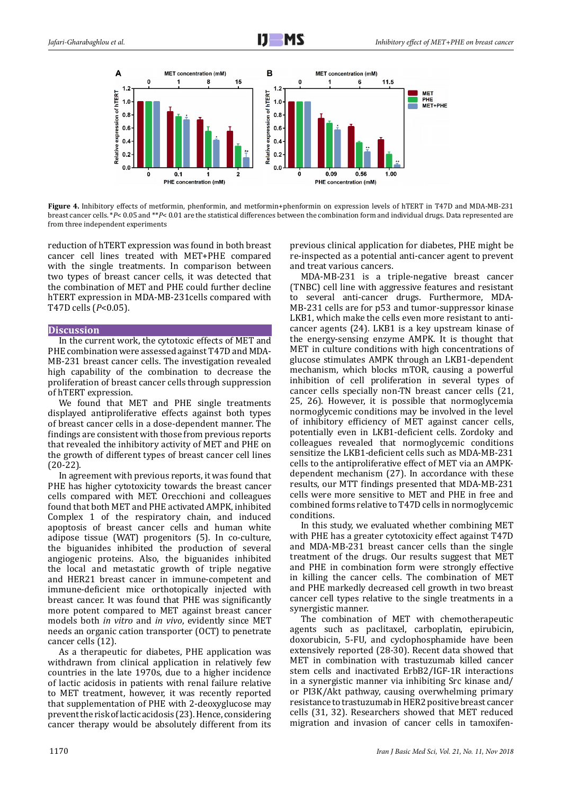

**Figure 4.** Inhibitory effects of metformin, phenformin, and metformin+phenformin on expression levels of hTERT in T47D and MDA-MB-231 breast cancer cells. \**P*< 0.05 and \*\**P*< 0.01 are the statistical differences between the combination form and individual drugs. Data represented are from three independent experiments

reduction of hTERT expression was found in both breast cancer cell lines treated with MET+PHE compared with the single treatments. In comparison between two types of breast cancer cells, it was detected that the combination of MET and PHE could further decline hTERT expression in MDA-MB-231cells compared with T47D cells (*P*<0.05).

# **Discussion**

In the current work, the cytotoxic effects of MET and PHE combination were assessed against T47D and MDA-MB-231 breast cancer cells. The investigation revealed high capability of the combination to decrease the proliferation of breast cancer cells through suppression of hTERT expression.

We found that MET and PHE single treatments displayed antiproliferative effects against both types of breast cancer cells in a dose-dependent manner. The findings are consistent with those from previous reports that revealed the inhibitory activity of MET and PHE on the growth of different types of breast cancer cell lines (20-22).

In agreement with previous reports, it was found that PHE has higher cytotoxicity towards the breast cancer cells compared with MET. Orecchioni and colleagues found that both MET and PHE activated AMPK, inhibited Complex 1 of the respiratory chain, and induced apoptosis of breast cancer cells and human white adipose tissue (WAT) progenitors (5). In co-culture, the biguanides inhibited the production of several angiogenic proteins. Also, the biguanides inhibited the local and metastatic growth of triple negative and HER21 breast cancer in immune-competent and immune-deficient mice orthotopically injected with breast cancer. It was found that PHE was significantly more potent compared to MET against breast cancer models both *in vitro* and *in vivo*, evidently since MET needs an organic cation transporter (OCT) to penetrate cancer cells (12).

As a therapeutic for diabetes, PHE application was withdrawn from clinical application in relatively few countries in the late 1970s, due to a higher incidence of lactic acidosis in patients with renal failure relative to MET treatment, however, it was recently reported that supplementation of PHE with 2-deoxyglucose may prevent the risk of lactic acidosis (23). Hence, considering cancer therapy would be absolutely different from its

previous clinical application for diabetes, PHE might be re-inspected as a potential anti-cancer agent to prevent and treat various cancers.

MDA-MB-231 is a triple-negative breast cancer (TNBC) cell line with aggressive features and resistant to several anti-cancer drugs. Furthermore, MDA-MB-231 cells are for p53 and tumor-suppressor kinase LKB1, which make the cells even more resistant to anticancer agents (24). LKB1 is a key upstream kinase of the energy-sensing enzyme AMPK. It is thought that MET in culture conditions with high concentrations of glucose stimulates AMPK through an LKB1-dependent mechanism, which blocks mTOR, causing a powerful inhibition of cell proliferation in several types of cancer cells specially non-TN breast cancer cells (21, 25, 26). However, it is possible that normoglycemia normoglycemic conditions may be involved in the level of inhibitory efficiency of MET against cancer cells, potentially even in LKB1-deficient cells. Zordoky and colleagues revealed that normoglycemic conditions sensitize the LKB1-deficient cells such as MDA-MB-231 cells to the antiproliferative effect of MET via an AMPKdependent mechanism (27). In accordance with these results, our MTT findings presented that MDA-MB-231 cells were more sensitive to MET and PHE in free and combined forms relative to T47D cells in normoglycemic conditions.

In this study, we evaluated whether combining MET with PHE has a greater cytotoxicity effect against T47D and MDA-MB-231 breast cancer cells than the single treatment of the drugs. Our results suggest that MET and PHE in combination form were strongly effective in killing the cancer cells. The combination of MET and PHE markedly decreased cell growth in two breast cancer cell types relative to the single treatments in a synergistic manner.

The combination of MET with chemotherapeutic agents such as paclitaxel, carboplatin, epirubicin, doxorubicin, 5-FU, and cyclophosphamide have been extensively reported (28-30). Recent data showed that MET in combination with trastuzumab killed cancer stem cells and inactivated ErbB2/IGF-1R interactions in a synergistic manner via inhibiting Src kinase and/ or PI3K/Akt pathway, causing overwhelming primary resistance to trastuzumab in HER2 positive breast cancer cells (31, 32). Researchers showed that MET reduced migration and invasion of cancer cells in tamoxifen-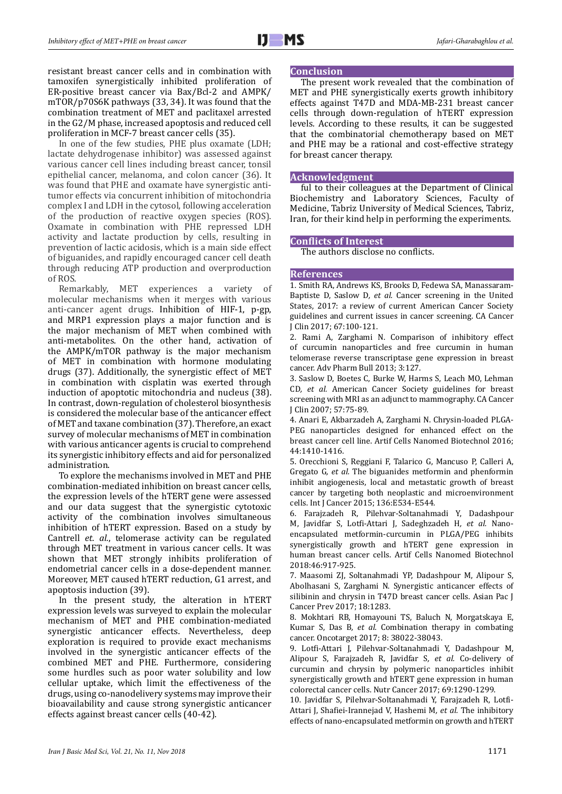resistant breast cancer cells and in combination with tamoxifen synergistically inhibited proliferation of ER-positive breast cancer via Bax/Bcl-2 and AMPK/ mTOR/p70S6K pathways (33, 34). It was found that the combination treatment of MET and paclitaxel arrested in the G2/M phase, increased apoptosis and reduced cell proliferation in MCF-7 breast cancer cells (35).

In one of the few studies, PHE plus oxamate (LDH; lactate dehydrogenase inhibitor) was assessed against various cancer cell lines including breast cancer, tonsil epithelial cancer, melanoma, and colon cancer (36). It was found that PHE and oxamate have synergistic antitumor effects via concurrent inhibition of mitochondria complex I and LDH in the cytosol, following acceleration of the production of reactive oxygen species (ROS). Oxamate in combination with PHE repressed LDH activity and lactate production by cells, resulting in prevention of lactic acidosis, which is a main side effect of biguanides, and rapidly encouraged cancer cell death through reducing ATP production and overproduction of ROS.

Remarkably, MET experiences a variety of molecular mechanisms when it merges with various anti-cancer agent drugs. Inhibition of HIF-1, p-gp, and MRP1 expression plays a major function and is the major mechanism of MET when combined with anti-metabolites. On the other hand, activation of the AMPK/mTOR pathway is the major mechanism of MET in combination with hormone modulating drugs (37). Additionally, the synergistic effect of MET in combination with cisplatin was exerted through induction of apoptotic mitochondria and nucleus (38). In contrast, down-regulation of cholesterol biosynthesis is considered the molecular base of the anticancer effect of MET and taxane combination (37). Therefore, an exact survey of molecular mechanisms of MET in combination with various anticancer agents is crucial to comprehend its synergistic inhibitory effects and aid for personalized administration.

To explore the mechanisms involved in MET and PHE combination-mediated inhibition on breast cancer cells, the expression levels of the hTERT gene were assessed and our data suggest that the synergistic cytotoxic activity of the combination involves simultaneous inhibition of hTERT expression. Based on a study by Cantrell *et. al.*, telomerase activity can be regulated through MET treatment in various cancer cells. It was shown that MET strongly inhibits proliferation of endometrial cancer cells in a dose-dependent manner. Moreover, MET caused hTERT reduction, G1 arrest, and apoptosis induction (39).

In the present study, the alteration in hTERT expression levels was surveyed to explain the molecular mechanism of MET and PHE combination-mediated synergistic anticancer effects. Nevertheless, deep exploration is required to provide exact mechanisms involved in the synergistic anticancer effects of the combined MET and PHE. Furthermore, considering some hurdles such as poor water solubility and low cellular uptake, which limit the effectiveness of the drugs, using co-nanodelivery systems may improve their bioavailability and cause strong synergistic anticancer effects against breast cancer cells (40-42).

## **Conclusion**

The present work revealed that the combination of MET and PHE synergistically exerts growth inhibitory effects against T47D and MDA-MB-231 breast cancer cells through down-regulation of hTERT expression levels*.* According to these results, it can be suggested that the combinatorial chemotherapy based on MET and PHE may be a rational and cost-effective strategy for breast cancer therapy.

## **Acknowledgment**

ful to their colleagues at the Department of Clinical Biochemistry and Laboratory Sciences, Faculty of Medicine, Tabriz University of Medical Sciences, Tabriz, Iran, for their kind help in performing the experiments.

# **Conflicts of Interest**

The authors disclose no conflicts.

## **References**

1. Smith RA, Andrews KS, Brooks D, Fedewa SA, Manassaram-Baptiste D, Saslow D*, et al.* Cancer screening in the United States, 2017: a review of current American Cancer Society guidelines and current issues in cancer screening. CA Cancer J Clin 2017; 67:100-121.

2. Rami A, Zarghami N. Comparison of inhibitory effect of curcumin nanoparticles and free curcumin in human telomerase reverse transcriptase gene expression in breast cancer. Adv Pharm Bull 2013; 3:127.

3. Saslow D, Boetes C, Burke W, Harms S, Leach MO, Lehman CD*, et al.* American Cancer Society guidelines for breast screening with MRI as an adjunct to mammography. CA Cancer J Clin 2007; 57:75-89.

4. Anari E, Akbarzadeh A, Zarghami N. Chrysin-loaded PLGA-PEG nanoparticles designed for enhanced effect on the breast cancer cell line. Artif Cells Nanomed Biotechnol 2016; 44:1410-1416.

5. Orecchioni S, Reggiani F, Talarico G, Mancuso P, Calleri A, Gregato G*, et al.* The biguanides metformin and phenformin inhibit angiogenesis, local and metastatic growth of breast cancer by targeting both neoplastic and microenvironment cells. Int J Cancer 2015; 136:E534-E544.

6. Farajzadeh R, Pilehvar-Soltanahmadi Y, Dadashpour M, Javidfar S, Lotfi-Attari J, Sadeghzadeh H*, et al.* Nanoencapsulated metformin-curcumin in PLGA/PEG inhibits synergistically growth and hTERT gene expression in human breast cancer cells. Artif Cells Nanomed Biotechnol 2018:46:917-925.

7. Maasomi ZJ, Soltanahmadi YP, Dadashpour M, Alipour S, Abolhasani S, Zarghami N. Synergistic anticancer effects of silibinin and chrysin in T47D breast cancer cells. Asian Pac J Cancer Prev 2017; 18:1283.

8. Mokhtari RB, Homayouni TS, Baluch N, Morgatskaya E, Kumar S, Das B*, et al.* Combination therapy in combating cancer. Oncotarget 2017; 8: 38022-38043.

9. Lotfi-Attari J, Pilehvar-Soltanahmadi Y, Dadashpour M, Alipour S, Farajzadeh R, Javidfar S*, et al.* Co-delivery of curcumin and chrysin by polymeric nanoparticles inhibit synergistically growth and hTERT gene expression in human colorectal cancer cells. Nutr Cancer 2017; 69:1290-1299.

10. Javidfar S, Pilehvar-Soltanahmadi Y, Farajzadeh R, Lotfi-Attari J, Shafiei-Irannejad V, Hashemi M*, et al.* The inhibitory effects of nano-encapsulated metformin on growth and hTERT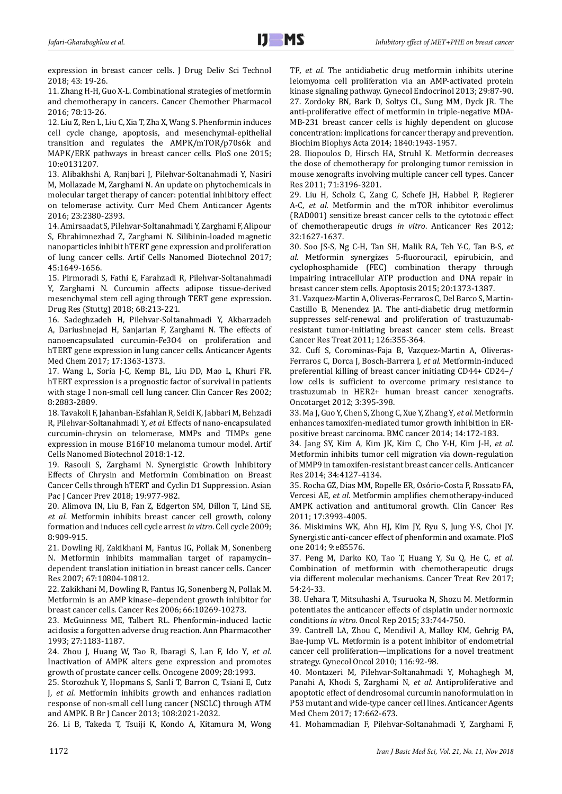expression in breast cancer cells. J Drug Deliv Sci Technol 2018; 43: 19-26.

11. Zhang H-H, Guo X-L. Combinational strategies of metformin and chemotherapy in cancers. Cancer Chemother Pharmacol 2016; 78:13-26.

12. Liu Z, Ren L, Liu C, Xia T, Zha X, Wang S. Phenformin induces cell cycle change, apoptosis, and mesenchymal-epithelial transition and regulates the AMPK/mTOR/p70s6k and MAPK/ERK pathways in breast cancer cells. PloS one 2015; 10:e0131207.

13. Alibakhshi A, Ranjbari J, Pilehvar-Soltanahmadi Y, Nasiri M, Mollazade M, Zarghami N. An update on phytochemicals in molecular target therapy of cancer: potential inhibitory effect on telomerase activity. Curr Med Chem Anticancer Agents 2016; 23:2380-2393.

14. Amirsaadat S, Pilehvar-Soltanahmadi Y, Zarghami F, Alipour S, Ebrahimnezhad Z, Zarghami N. Silibinin-loaded magnetic nanoparticles inhibit hTERT gene expression and proliferation of lung cancer cells. Artif Cells Nanomed Biotechnol 2017; 45:1649-1656.

15. Pirmoradi S, Fathi E, Farahzadi R, Pilehvar-Soltanahmadi Y, Zarghami N. Curcumin affects adipose tissue-derived mesenchymal stem cell aging through TERT gene expression. Drug Res (Stuttg) 2018; 68:213-221.

16. Sadeghzadeh H, Pilehvar-Soltanahmadi Y, Akbarzadeh A, Dariushnejad H, Sanjarian F, Zarghami N. The effects of nanoencapsulated curcumin-Fe3O4 on proliferation and hTERT gene expression in lung cancer cells. Anticancer Agents Med Chem 2017; 17:1363-1373.

17. Wang L, Soria J-C, Kemp BL, Liu DD, Mao L, Khuri FR. hTERT expression is a prognostic factor of survival in patients with stage I non-small cell lung cancer. Clin Cancer Res 2002; 8:2883-2889.

18. Tavakoli F, Jahanban-Esfahlan R, Seidi K, Jabbari M, Behzadi R, Pilehvar-Soltanahmadi Y*, et al.* Effects of nano-encapsulated curcumin-chrysin on telomerase, MMPs and TIMPs gene expression in mouse B16F10 melanoma tumour model. Artif Cells Nanomed Biotechnol 2018:1-12.

19. Rasouli S, Zarghami N. Synergistic Growth Inhibitory Effects of Chrysin and Metformin Combination on Breast Cancer Cells through hTERT and Cyclin D1 Suppression. Asian Pac J Cancer Prev 2018; 19:977-982.

20. Alimova IN, Liu B, Fan Z, Edgerton SM, Dillon T, Lind SE*, et al.* Metformin inhibits breast cancer cell growth, colony formation and induces cell cycle arrest *in vitro*. Cell cycle 2009; 8:909-915.

21. Dowling RJ, Zakikhani M, Fantus IG, Pollak M, Sonenberg N. Metformin inhibits mammalian target of rapamycin– dependent translation initiation in breast cancer cells. Cancer Res 2007; 67:10804-10812.

22. Zakikhani M, Dowling R, Fantus IG, Sonenberg N, Pollak M. Metformin is an AMP kinase–dependent growth inhibitor for breast cancer cells. Cancer Res 2006; 66:10269-10273.

23. McGuinness ME, Talbert RL. Phenformin-induced lactic acidosis: a forgotten adverse drug reaction. Ann Pharmacother 1993; 27:1183-1187.

24. Zhou J, Huang W, Tao R, Ibaragi S, Lan F, Ido Y*, et al.* Inactivation of AMPK alters gene expression and promotes growth of prostate cancer cells. Oncogene 2009; 28:1993.

25. Storozhuk Y, Hopmans S, Sanli T, Barron C, Tsiani E, Cutz J*, et al.* Metformin inhibits growth and enhances radiation response of non-small cell lung cancer (NSCLC) through ATM and AMPK. B Br J Cancer 2013; 108:2021-2032.

26. Li B, Takeda T, Tsuiji K, Kondo A, Kitamura M, Wong

TF*, et al.* The antidiabetic drug metformin inhibits uterine leiomyoma cell proliferation via an AMP-activated protein kinase signaling pathway. Gynecol Endocrinol 2013; 29:87-90. 27. Zordoky BN, Bark D, Soltys CL, Sung MM, Dyck JR. The anti-proliferative effect of metformin in triple-negative MDA-MB-231 breast cancer cells is highly dependent on glucose concentration: implications for cancer therapy and prevention. Biochim Biophys Acta 2014; 1840:1943-1957.

28. Iliopoulos D, Hirsch HA, Struhl K. Metformin decreases the dose of chemotherapy for prolonging tumor remission in mouse xenografts involving multiple cancer cell types. Cancer Res 2011; 71:3196-3201.

29. Liu H, Scholz C, Zang C, Schefe JH, Habbel P, Regierer A-C*, et al.* Metformin and the mTOR inhibitor everolimus (RAD001) sensitize breast cancer cells to the cytotoxic effect of chemotherapeutic drugs *in vitro*. Anticancer Res 2012; 32:1627-1637.

30. Soo JS-S, Ng C-H, Tan SH, Malik RA, Teh Y-C, Tan B-S*, et al.* Metformin synergizes 5-fluorouracil, epirubicin, and cyclophosphamide (FEC) combination therapy through impairing intracellular ATP production and DNA repair in breast cancer stem cells. Apoptosis 2015; 20:1373-1387.

31. Vazquez-Martin A, Oliveras-Ferraros C, Del Barco S, Martin-Castillo B, Menendez JA. The anti-diabetic drug metformin suppresses self-renewal and proliferation of trastuzumabresistant tumor-initiating breast cancer stem cells. Breast Cancer Res Treat 2011; 126:355-364.

32. Cufí S, Corominas-Faja B, Vazquez-Martin A, Oliveras-Ferraros C, Dorca J, Bosch-Barrera J*, et al.* Metformin-induced preferential killing of breast cancer initiating CD44+ CD24−/ low cells is sufficient to overcome primary resistance to trastuzumab in HER2+ human breast cancer xenografts. Oncotarget 2012; 3:395-398.

33. Ma J, Guo Y, Chen S, Zhong C, Xue Y, Zhang Y*, et al.* Metformin enhances tamoxifen-mediated tumor growth inhibition in ERpositive breast carcinoma. BMC cancer 2014; 14:172-183.

34. Jang SY, Kim A, Kim JK, Kim C, Cho Y-H, Kim J-H*, et al.* Metformin inhibits tumor cell migration via down-regulation of MMP9 in tamoxifen-resistant breast cancer cells. Anticancer Res 2014; 34:4127-4134.

35. Rocha GZ, Dias MM, Ropelle ER, Osório-Costa F, Rossato FA, Vercesi AE*, et al.* Metformin amplifies chemotherapy-induced AMPK activation and antitumoral growth. Clin Cancer Res 2011; 17:3993-4005.

36. Miskimins WK, Ahn HJ, Kim JY, Ryu S, Jung Y-S, Choi JY. Synergistic anti-cancer effect of phenformin and oxamate. PloS one 2014; 9:e85576.

37. Peng M, Darko KO, Tao T, Huang Y, Su Q, He C*, et al.* Combination of metformin with chemotherapeutic drugs via different molecular mechanisms. Cancer Treat Rev 2017; 54:24-33.

38. Uehara T, Mitsuhashi A, Tsuruoka N, Shozu M. Metformin potentiates the anticancer effects of cisplatin under normoxic conditions *in vitro*. Oncol Rep 2015; 33:744-750.

39. Cantrell LA, Zhou C, Mendivil A, Malloy KM, Gehrig PA, Bae-Jump VL. Metformin is a potent inhibitor of endometrial cancer cell proliferation—implications for a novel treatment strategy. Gynecol Oncol 2010; 116:92-98.

40. Montazeri M, Pilehvar-Soltanahmadi Y, Mohaghegh M, Panahi A, Khodi S, Zarghami N*, et al.* Antiproliferative and apoptotic effect of dendrosomal curcumin nanoformulation in P53 mutant and wide-type cancer cell lines. Anticancer Agents Med Chem 2017; 17:662-673.

41. Mohammadian F, Pilehvar-Soltanahmadi Y, Zarghami F,